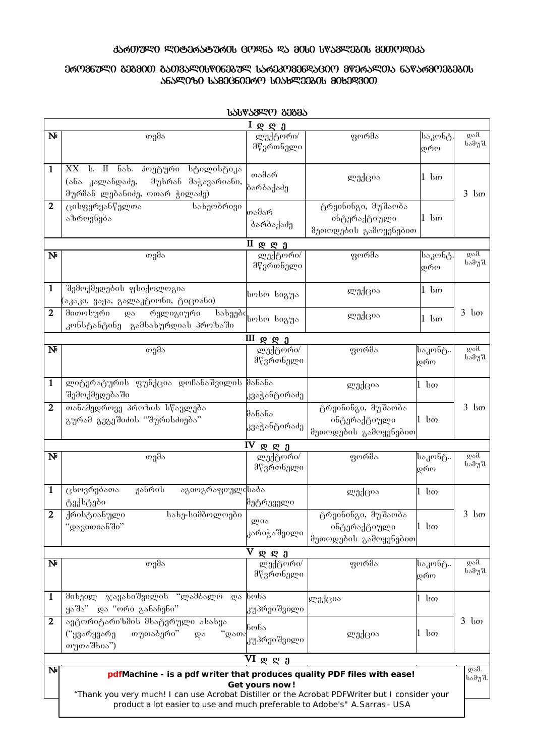## **15601390 90806581606 60965 95 8060 68589306 800099035**

## 06096950 808800 850855066060895 15603098065600 800655005 6505680080806

| $I \otimes \otimes a$ |                                                                                                                                                                                                                                                                            |                                       |                                                             |                 |                       |  |  |  |  |
|-----------------------|----------------------------------------------------------------------------------------------------------------------------------------------------------------------------------------------------------------------------------------------------------------------------|---------------------------------------|-------------------------------------------------------------|-----------------|-----------------------|--|--|--|--|
| $N_{\rm P}$           | თემა                                                                                                                                                                                                                                                                       | ლექტორი/<br>მწვრთნელი                 | ფორმა                                                       | საკონტ.<br>დრო  | <b>დამ.</b><br>სამუშ. |  |  |  |  |
| 1                     | XX<br>-ს. II ნახ. პოეტური სტილისტიკა<br>(ანა კალანდაძე,<br>მუხრან მაჭავარიანი,<br>მურმან ლებანიძე, ოთარ ჭილაძე)                                                                                                                                                            | თამარ<br>ბარბაქაძე                    | ლექცია                                                      | 1 სთ            | $3$ bo                |  |  |  |  |
| $\overline{2}$        | ცისფერყანწელთა<br>სახეოპრივი<br>აზროვნება                                                                                                                                                                                                                                  | თამარ<br>პარბაქაძე                    | ტრეინინგი, მუშაობა<br>ინტერაქტიული<br>მეთოდების გამოყენებით | $1 \text{ }$ bo |                       |  |  |  |  |
| $N_{\rm P}$           | თემა                                                                                                                                                                                                                                                                       | $II$ φ φ $3$<br>ლექტორი/<br>მწვრთნელი | ფორმა                                                       | საკონტ.<br>დრო  | <b>დამ.</b><br>სამუშ. |  |  |  |  |
| 1                     | შემოქმედების ფსიქოლოგია<br>(აკაკი, ვაჟა, გალაკტიონი, ტიციანი)                                                                                                                                                                                                              | სოსო სიგუა                            | ლექცია                                                      | $1 \text{ }$ bo |                       |  |  |  |  |
| $\mathbf{2}$          | მითოსური<br>რელიგიური<br>და<br>კონსტანტინე გამსახურდიას პროზაში                                                                                                                                                                                                            | _<br>სახეების სიგუა                   | ლექცია                                                      | $1 \text{ }$ bo | 3<br>$\log$           |  |  |  |  |
|                       |                                                                                                                                                                                                                                                                            | $III$ g g $3$                         |                                                             |                 |                       |  |  |  |  |
| $\mathbf{N}$          | თემა                                                                                                                                                                                                                                                                       | ლექტორი/<br>მწვრთნელი                 | ფორმა                                                       | საკონტ<br>დრო   | დამ.<br>სამუშ.        |  |  |  |  |
| 1                     | ლიტერატურის ფუნქცია დოჩანაშვილის მანანა<br>შემოქმედებაში                                                                                                                                                                                                                   | კვაჭანტირაძე                          | ლექცია                                                      | $1 \text{ } 6m$ |                       |  |  |  |  |
| 2                     | თანამედროვე პროზის სწავლება<br>გურამ გეგეშიძის "შურისძიება"                                                                                                                                                                                                                | მანანა<br>კვაჭანტირაძე                | ტრეინინგი, მუშაობა<br>ინტერაქტიული<br>მეთოდების გამოყენებით | $1 \text{ }$ bo | $3$ bo                |  |  |  |  |
|                       |                                                                                                                                                                                                                                                                            | $IV$ <b>Q Q d</b>                     |                                                             |                 |                       |  |  |  |  |
| $N_{\rm P}$           | თემა                                                                                                                                                                                                                                                                       | ლექტორი/<br>მწვრთნელი                 | ფორმა                                                       | საკონტ<br>დრო   | დამ.<br>სამუშ.        |  |  |  |  |
| 1                     | ჟანრის<br>ცხოვრებათა<br>აგიოგრაფიულისაბა<br>ტექსტები                                                                                                                                                                                                                       | მეტრეველი                             | ლექცია                                                      | $1 \text{ }$ bo |                       |  |  |  |  |
| $\overline{2}$        | სახე-სიმბოლოები<br>ქრისტიანული<br>"დავითიანში"                                                                                                                                                                                                                             | ლია<br>კარიჭაშვილი                    | ტრეინინგი, მუშაობა<br>ინტერაქტიული<br>მეთოდების გამოყენებით | $1 \text{ }$ bo | $3 \text{ }$ bo       |  |  |  |  |
|                       |                                                                                                                                                                                                                                                                            | $V$ & & $\frac{\partial}{\partial V}$ |                                                             |                 |                       |  |  |  |  |
| $N_{\rm P}$           | თემა                                                                                                                                                                                                                                                                       | ლექტორი/<br>მწვრთნელი                 | ფორმა                                                       | საკონტ<br>დრო   | დამ.<br>სამუშ.        |  |  |  |  |
| 1                     | ჯავახიშვილის "ლამბალო<br>მიხეილ<br>ყაშა"<br>_და "ორი_განაჩენი"                                                                                                                                                                                                             | და ნონა<br>კუპრეიშვილი                | ლექცია                                                      | $1 \text{ }$ bo |                       |  |  |  |  |
| $\mathbf{2}$          | ავტორიტარიზმის მხატვრული ასახვა<br>თუთაბერი"<br>"დათა<br>("ყვარყვარე<br>$\overline{\omega}$<br>თუთაშხია")                                                                                                                                                                  | ნონა<br>კუპრეიშვილი                   | ლექცია                                                      | $1 \text{ } 60$ | $3$ bo                |  |  |  |  |
|                       | VI დღე                                                                                                                                                                                                                                                                     |                                       |                                                             |                 |                       |  |  |  |  |
| $N_{\rm P}$           | pdfMachine - is a pdf writer that produces quality PDF files with ease!<br>Get yours now!<br>"Thank you very much! I can use Acrobat Distiller or the Acrobat PDFWriter but I consider your<br>product a lot easier to use and much preferable to Adobe's" A. Sarras - USA |                                       |                                                             |                 |                       |  |  |  |  |

*USUPS8***40 80885**